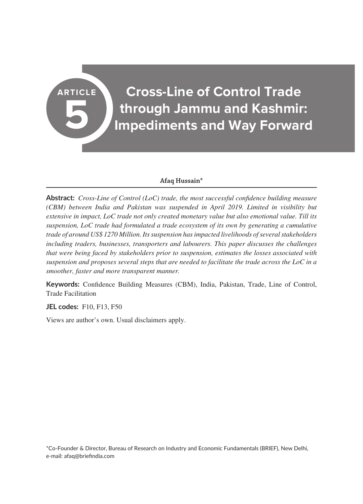# **ARTICLE Cross-Line of Control Trade through Jammu and Kashmir: Impediments and Way Forward**

## **Afaq Hussain\***

**Abstract:** *Cross-Line of Control (LoC) trade, the most successful confidence building measure (CBM) between India and Pakistan was suspended in April 2019. Limited in visibility but extensive in impact, LoC trade not only created monetary value but also emotional value. Till its suspension, LoC trade had formulated a trade ecosystem of its own by generating a cumulative trade of around US\$ 1270 Million. Its suspension has impacted livelihoods of several stakeholders including traders, businesses, transporters and labourers. This paper discusses the challenges that were being faced by stakeholders prior to suspension, estimates the losses associated with suspension and proposes several steps that are needed to facilitate the trade across the LoC in a smoother, faster and more transparent manner.*

**Keywords:** Confidence Building Measures (CBM), India, Pakistan, Trade, Line of Control, Trade Facilitation

**JEL codes:** F10, F13, F50

**5**

Views are author's own. Usual disclaimers apply.

\*Co-Founder & Director, Bureau of Research on Industry and Economic Fundamentals (BRIEF), New Delhi, e-mail: afaq@briefindia.com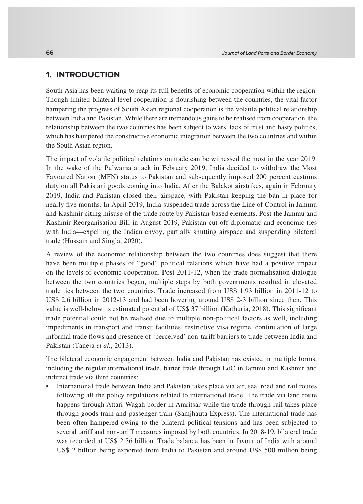# **1. INTRODUCTION**

South Asia has been waiting to reap its full benefits of economic cooperation within the region. Though limited bilateral level cooperation is flourishing between the countries, the vital factor hampering the progress of South Asian regional cooperation is the volatile political relationship between India and Pakistan. While there are tremendous gains to be realised from cooperation, the relationship between the two countries has been subject to wars, lack of trust and hasty politics, which has hampered the constructive economic integration between the two countries and within the South Asian region.

The impact of volatile political relations on trade can be witnessed the most in the year 2019. In the wake of the Pulwama attack in February 2019, India decided to withdraw the Most Favoured Nation (MFN) status to Pakistan and subsequently imposed 200 percent customs duty on all Pakistani goods coming into India. After the Balakot airstrikes, again in February 2019, India and Pakistan closed their airspace, with Pakistan keeping the ban in place for nearly five months. In April 2019, India suspended trade across the Line of Control in Jammu and Kashmir citing misuse of the trade route by Pakistan-based elements. Post the Jammu and Kashmir Reorganisation Bill in August 2019, Pakistan cut off diplomatic and economic ties with India—expelling the Indian envoy, partially shutting airspace and suspending bilateral trade (Hussain and Singla, 2020).

A review of the economic relationship between the two countries does suggest that there have been multiple phases of "good" political relations which have had a positive impact on the levels of economic cooperation. Post 2011-12, when the trade normalisation dialogue between the two countries began, multiple steps by both governments resulted in elevated trade ties between the two countries. Trade increased from US\$ 1.93 billion in 2011-12 to US\$ 2.6 billion in 2012-13 and had been hovering around US\$ 2-3 billion since then. This value is well-below its estimated potential of US\$ 37 billion (Kathuria, 2018). This significant trade potential could not be realised due to multiple non-political factors as well, including impediments in transport and transit facilities, restrictive visa regime, continuation of large informal trade flows and presence of 'perceived' non-tariff barriers to trade between India and Pakistan (Taneja *et al.*, 2013).

The bilateral economic engagement between India and Pakistan has existed in multiple forms, including the regular international trade, barter trade through LoC in Jammu and Kashmir and indirect trade via third countries:

• International trade between India and Pakistan takes place via air, sea, road and rail routes following all the policy regulations related to international trade. The trade via land route happens through Attari-Wagah border in Amritsar while the trade through rail takes place through goods train and passenger train (Samjhauta Express). The international trade has been often hampered owing to the bilateral political tensions and has been subjected to several tariff and non-tariff measures imposed by both countries. In 2018-19, bilateral trade was recorded at US\$ 2.56 billion. Trade balance has been in favour of India with around US\$ 2 billion being exported from India to Pakistan and around US\$ 500 million being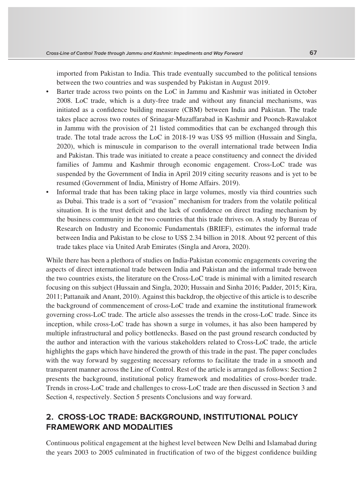imported from Pakistan to India. This trade eventually succumbed to the political tensions between the two countries and was suspended by Pakistan in August 2019.

- Barter trade across two points on the LoC in Jammu and Kashmir was initiated in October 2008. LoC trade, which is a duty-free trade and without any financial mechanisms, was initiated as a confidence building measure (CBM) between India and Pakistan. The trade takes place across two routes of Srinagar-Muzaffarabad in Kashmir and Poonch-Rawalakot in Jammu with the provision of 21 listed commodities that can be exchanged through this trade. The total trade across the LoC in 2018-19 was US\$ 95 million (Hussain and Singla, 2020), which is minuscule in comparison to the overall international trade between India and Pakistan. This trade was initiated to create a peace constituency and connect the divided families of Jammu and Kashmir through economic engagement. Cross-LoC trade was suspended by the Government of India in April 2019 citing security reasons and is yet to be resumed (Government of India, Ministry of Home Affairs. 2019).
- Informal trade that has been taking place in large volumes, mostly via third countries such as Dubai. This trade is a sort of "evasion" mechanism for traders from the volatile political situation. It is the trust deficit and the lack of confidence on direct trading mechanism by the business community in the two countries that this trade thrives on. A study by Bureau of Research on Industry and Economic Fundamentals (BRIEF), estimates the informal trade between India and Pakistan to be close to US\$ 2.34 billion in 2018. About 92 percent of this trade takes place via United Arab Emirates (Singla and Arora, 2020).

While there has been a plethora of studies on India-Pakistan economic engagements covering the aspects of direct international trade between India and Pakistan and the informal trade between the two countries exists, the literature on the Cross-LoC trade is minimal with a limited research focusing on this subject (Hussain and Singla, 2020; Hussain and Sinha 2016; Padder, 2015; Kira, 2011; Pattanaik and Anant, 2010). Against this backdrop, the objective of this article is to describe the background of commencement of cross-LoC trade and examine the institutional framework governing cross-LoC trade. The article also assesses the trends in the cross-LoC trade. Since its inception, while cross-LoC trade has shown a surge in volumes, it has also been hampered by multiple infrastructural and policy bottlenecks. Based on the past ground research conducted by the author and interaction with the various stakeholders related to Cross-LoC trade, the article highlights the gaps which have hindered the growth of this trade in the past. The paper concludes with the way forward by suggesting necessary reforms to facilitate the trade in a smooth and transparent manner across the Line of Control. Rest of the article is arranged as follows: Section 2 presents the background, institutional policy framework and modalities of cross-border trade. Trends in cross-LoC trade and challenges to cross-LoC trade are then discussed in Section 3 and Section 4, respectively. Section 5 presents Conclusions and way forward.

## **2. CROSS-LOC TRADE: BACKGROUND, INSTITUTIONAL POLICY FRAMEWORK AND MODALITIES**

Continuous political engagement at the highest level between New Delhi and Islamabad during the years 2003 to 2005 culminated in fructification of two of the biggest confidence building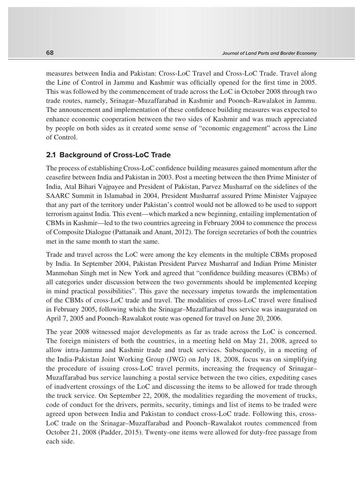measures between India and Pakistan: Cross-LoC Travel and Cross-LoC Trade. Travel along the Line of Control in Jammu and Kashmir was officially opened for the first time in 2005. This was followed by the commencement of trade across the LoC in October 2008 through two trade routes, namely, Srinagar–Muzaffarabad in Kashmir and Poonch–Rawalakot in Jammu. The announcement and implementation of these confidence building measures was expected to enhance economic cooperation between the two sides of Kashmir and was much appreciated by people on both sides as it created some sense of "economic engagement" across the Line of Control.

#### **2.1 Background of Cross-LoC Trade**

The process of establishing Cross-LoC confidence building measures gained momentum after the ceasefire between India and Pakistan in 2003. Post a meeting between the then Prime Minister of India, Atal Bihari Vajpayee and President of Pakistan, Parvez Musharraf on the sidelines of the SAARC Summit in Islamabad in 2004, President Musharraf assured Prime Minister Vajpayee that any part of the territory under Pakistan's control would not be allowed to be used to support terrorism against India. This event—which marked a new beginning, entailing implementation of CBMs in Kashmir—led to the two countries agreeing in February 2004 to commence the process of Composite Dialogue (Pattanaik and Anant, 2012). The foreign secretaries of both the countries met in the same month to start the same.

Trade and travel across the LoC were among the key elements in the multiple CBMs proposed by India. In September 2004, Pakistan President Parvez Musharraf and Indian Prime Minister Manmohan Singh met in New York and agreed that "confidence building measures (CBMs) of all categories under discussion between the two governments should be implemented keeping in mind practical possibilities". This gave the necessary impetus towards the implementation of the CBMs of cross-LoC trade and travel. The modalities of cross-LoC travel were finalised in February 2005, following which the Srinagar–Muzaffarabad bus service was inaugurated on April 7, 2005 and Poonch–Rawalakot route was opened for travel on June 20, 2006.

The year 2008 witnessed major developments as far as trade across the LoC is concerned. The foreign ministers of both the countries, in a meeting held on May 21, 2008, agreed to allow intra-Jammu and Kashmir trade and truck services. Subsequently, in a meeting of the India-Pakistan Joint Working Group (JWG) on July 18, 2008, focus was on simplifying the procedure of issuing cross-LoC travel permits, increasing the frequency of Srinagar– Muzaffarabad bus service launching a postal service between the two cities, expediting cases of inadvertent crossings of the LoC and discussing the items to be allowed for trade through the truck service. On September 22, 2008, the modalities regarding the movement of trucks, code of conduct for the drivers, permits, security, timings and list of items to be traded were agreed upon between India and Pakistan to conduct cross-LoC trade. Following this, cross-LoC trade on the Srinagar–Muzaffarabad and Poonch–Rawalakot routes commenced from October 21, 2008 (Padder, 2015). Twenty-one items were allowed for duty-free passage from each side.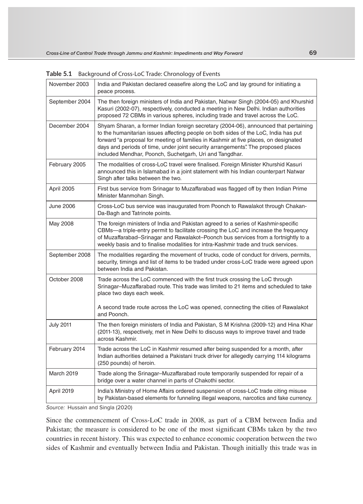| November 2003     | India and Pakistan declared ceasefire along the LoC and lay ground for initiating a<br>peace process.                                                                                                                                                                                                                                                                                                               |
|-------------------|---------------------------------------------------------------------------------------------------------------------------------------------------------------------------------------------------------------------------------------------------------------------------------------------------------------------------------------------------------------------------------------------------------------------|
| September 2004    | The then foreign ministers of India and Pakistan, Natwar Singh (2004-05) and Khurshid<br>Kasuri (2002-07), respectively, conducted a meeting in New Delhi. Indian authorities<br>proposed 72 CBMs in various spheres, including trade and travel across the LoC.                                                                                                                                                    |
| December 2004     | Shyam Sharan, a former Indian foreign secretary (2004-06), announced that pertaining<br>to the humanitarian issues affecting people on both sides of the LoC, India has put<br>forward "a proposal for meeting of families in Kashmir at five places, on designated<br>days and periods of time, under joint security arrangements". The proposed places<br>included Mendhar, Poonch, Suchetgarh, Uri and Tangdhar. |
| February 2005     | The modalities of cross-LoC travel were finalised. Foreign Minister Khurshid Kasuri<br>announced this in Islamabad in a joint statement with his Indian counterpart Natwar<br>Singh after talks between the two.                                                                                                                                                                                                    |
| April 2005        | First bus service from Srinagar to Muzaffarabad was flagged off by then Indian Prime<br>Minister Manmohan Singh.                                                                                                                                                                                                                                                                                                    |
| June 2006         | Cross-LoC bus service was inaugurated from Poonch to Rawalakot through Chakan-<br>Da-Bagh and Tatrinote points.                                                                                                                                                                                                                                                                                                     |
| May 2008          | The foreign ministers of India and Pakistan agreed to a series of Kashmir-specific<br>CBMs—a triple-entry permit to facilitate crossing the LoC and increase the frequency<br>of Muzaffarabad–Srinagar and Rawalakot–Poonch bus services from a fortnightly to a<br>weekly basis and to finalise modalities for intra-Kashmir trade and truck services.                                                             |
| September 2008    | The modalities regarding the movement of trucks, code of conduct for drivers, permits,<br>security, timings and list of items to be traded under cross-LoC trade were agreed upon<br>between India and Pakistan.                                                                                                                                                                                                    |
| October 2008      | Trade across the LoC commenced with the first truck crossing the LoC through<br>Srinagar–Muzaffarabad route. This trade was limited to 21 items and scheduled to take<br>place two days each week.                                                                                                                                                                                                                  |
|                   | A second trade route across the LoC was opened, connecting the cities of Rawalakot<br>and Poonch.                                                                                                                                                                                                                                                                                                                   |
| <b>July 2011</b>  | The then foreign ministers of India and Pakistan, S M Krishna (2009-12) and Hina Khar<br>(2011-13), respectively, met in New Delhi to discuss ways to improve travel and trade<br>across Kashmir.                                                                                                                                                                                                                   |
| February 2014     | Trade across the LoC in Kashmir resumed after being suspended for a month, after<br>Indian authorities detained a Pakistani truck driver for allegedly carrying 114 kilograms<br>(250 pounds) of heroin.                                                                                                                                                                                                            |
| <b>March 2019</b> | Trade along the Srinagar–Muzaffarabad route temporarily suspended for repair of a<br>bridge over a water channel in parts of Chakothi sector.                                                                                                                                                                                                                                                                       |
| April 2019        | India's Ministry of Home Affairs ordered suspension of cross-LoC trade citing misuse<br>by Pakistan-based elements for funneling illegal weapons, narcotics and fake currency.                                                                                                                                                                                                                                      |

**Table 5.1** Background of Cross-LoC Trade: Chronology of Events

Source: Hussain and Singla (2020)

Since the commencement of Cross-LoC trade in 2008, as part of a CBM between India and Pakistan; the measure is considered to be one of the most significant CBMs taken by the two countries in recent history. This was expected to enhance economic cooperation between the two sides of Kashmir and eventually between India and Pakistan. Though initially this trade was in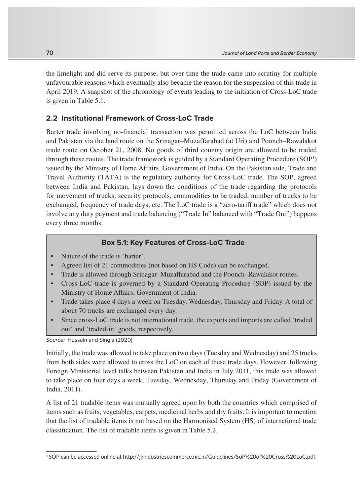the limelight and did serve its purpose, but over time the trade came into scrutiny for multiple unfavourable reasons which eventually also became the reason for the suspension of this trade in April 2019. A snapshot of the chronology of events leading to the initiation of Cross-LoC trade is given in Table 5.1.

## **2.2 Institutional Framework of Cross-LoC Trade**

Barter trade involving no-financial transaction was permitted across the LoC between India and Pakistan via the land route on the Srinagar–Muzaffarabad (at Uri) and Poonch–Rawalakot trade route on October 21, 2008. No goods of third country origin are allowed to be traded through these routes. The trade framework is guided by a Standard Operating Procedure (SOP<sup>1</sup>) issued by the Ministry of Home Affairs, Government of India. On the Pakistan side, Trade and Travel Authority (TATA) is the regulatory authority for Cross-LoC trade. The SOP, agreed between India and Pakistan, lays down the conditions of the trade regarding the protocols for movement of trucks, security protocols, commodities to be traded, number of trucks to be exchanged, frequency of trade days, etc. The LoC trade is a "zero-tariff trade" which does not involve any duty payment and trade balancing ("Trade In" balanced with "Trade Out") happens every three months.

#### **Box 5.1: Key Features of Cross-LoC Trade**

- Nature of the trade is 'barter'.
- Agreed list of 21 commodities (not based on HS Code) can be exchanged.
- Trade is allowed through Srinagar–Muzaffarabad and the Poonch–Rawalakot routes.
- Cross-LoC trade is governed by a Standard Operating Procedure (SOP) issued by the Ministry of Home Affairs, Government of India.
- Trade takes place 4 days a week on Tuesday, Wednesday, Thursday and Friday. A total of about 70 trucks are exchanged every day.
- Since cross-LoC trade is not international trade, the exports and imports are called 'traded out' and 'traded-in' goods, respectively.

Source: Hussain and Singla (2020)

Initially, the trade was allowed to take place on two days (Tuesday and Wednesday) and 25 trucks from both sides were allowed to cross the LoC on each of these trade days. However, following Foreign Ministerial level talks between Pakistan and India in July 2011, this trade was allowed to take place on four days a week, Tuesday, Wednesday, Thursday and Friday (Government of India, 2011).

A list of 21 tradable items was mutually agreed upon by both the countries which comprised of items such as fruits, vegetables, carpets, medicinal herbs and dry fruits. It is important to mention that the list of tradable items is not based on the Harmonised System (HS) of international trade classification. The list of tradable items is given in Table 5.2.

<sup>1</sup> SOP can be accessed online at http://jkindustriescommerce.nic.in/Guidelines/SoP%20of%20Cross%20LoC.pdf.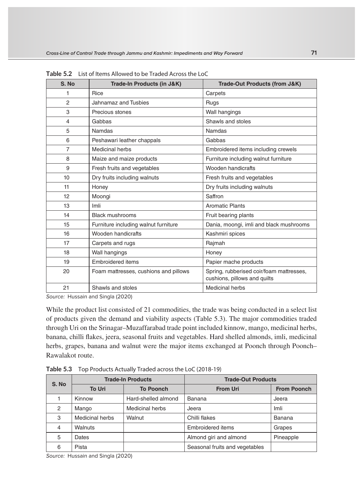| S. No          | Trade-In Products (in J&K)            | Trade-Out Products (from J&K)                                            |
|----------------|---------------------------------------|--------------------------------------------------------------------------|
| 1              | Rice                                  | Carpets                                                                  |
| $\overline{2}$ | Jahnamaz and Tusbies                  | Rugs                                                                     |
| 3              | Precious stones                       | Wall hangings                                                            |
| 4              | Gabbas                                | Shawls and stoles                                                        |
| 5              | Namdas                                | Namdas                                                                   |
| 6              | Peshawari leather chappals            | Gabbas                                                                   |
| 7              | Medicinal herbs                       | Embroidered items including crewels                                      |
| 8              | Maize and maize products              | Furniture including walnut furniture                                     |
| 9              | Fresh fruits and vegetables           | Wooden handicrafts                                                       |
| 10             | Dry fruits including walnuts          | Fresh fruits and vegetables                                              |
| 11             | Honey                                 | Dry fruits including walnuts                                             |
| 12             | Moongi                                | Saffron                                                                  |
| 13             | Imli                                  | <b>Aromatic Plants</b>                                                   |
| 14             | <b>Black mushrooms</b>                | Fruit bearing plants                                                     |
| 15             | Furniture including walnut furniture  | Dania, moongi, imli and black mushrooms                                  |
| 16             | Wooden handicrafts                    | Kashmiri spices                                                          |
| 17             | Carpets and rugs                      | Rajmah                                                                   |
| 18             | Wall hangings                         | Honey                                                                    |
| 19             | <b>Embroidered items</b>              | Papier mache products                                                    |
| 20             | Foam mattresses, cushions and pillows | Spring, rubberised coir/foam mattresses,<br>cushions, pillows and quilts |
| 21             | Shawls and stoles                     | <b>Medicinal herbs</b>                                                   |

**Table 5.2** List of Items Allowed to be Traded Across the LoC

Source: Hussain and Singla (2020)

While the product list consisted of 21 commodities, the trade was being conducted in a select list of products given the demand and viability aspects (Table 5.3). The major commodities traded through Uri on the Srinagar–Muzaffarabad trade point included kinnow, mango, medicinal herbs, banana, chilli flakes, jeera, seasonal fruits and vegetables. Hard shelled almonds, imli, medicinal herbs, grapes, banana and walnut were the major items exchanged at Poonch through Poonch-Rawalakot route.

| S. No          |                 | <b>Trade-In Products</b> | <b>Trade-Out Products</b>      |                    |  |  |
|----------------|-----------------|--------------------------|--------------------------------|--------------------|--|--|
|                | <b>To Uri</b>   | <b>To Poonch</b>         | <b>From Uri</b>                | <b>From Poonch</b> |  |  |
|                | Kinnow          | Hard-shelled almond      | Banana                         | Jeera              |  |  |
| $\overline{2}$ | Mango           | <b>Medicinal herbs</b>   | Jeera                          | Imli               |  |  |
| 3              | Medicinal herbs | Walnut                   | Chilli flakes                  | Banana             |  |  |
| 4              | Walnuts         |                          | Embroidered items              | Grapes             |  |  |
| 5              | Dates           |                          | Almond giri and almond         | Pineapple          |  |  |
| 6              | Pista           |                          | Seasonal fruits and vegetables |                    |  |  |

**Table 5.3** Top Products Actually Traded across the LoC (2018-19)

Source: Hussain and Singla (2020)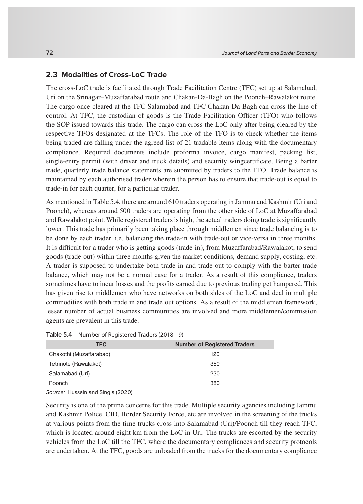## **2.3 Modalities of Cross-LoC Trade**

The cross-LoC trade is facilitated through Trade Facilitation Centre (TFC) set up at Salamabad, Uri on the Srinagar–Muzaffarabad route and Chakan-Da-Bagh on the Poonch–Rawalakot route. The cargo once cleared at the TFC Salamabad and TFC Chakan-Da-Bagh can cross the line of control. At TFC, the custodian of goods is the Trade Facilitation Officer (TFO) who follows the SOP issued towards this trade. The cargo can cross the LoC only after being cleared by the respective TFOs designated at the TFCs. The role of the TFO is to check whether the items being traded are falling under the agreed list of 21 tradable items along with the documentary compliance. Required documents include proforma invoice, cargo manifest, packing list, single-entry permit (with driver and truck details) and security wingcertificate. Being a barter trade, quarterly trade balance statements are submitted by traders to the TFO. Trade balance is maintained by each authorised trader wherein the person has to ensure that trade-out is equal to trade-in for each quarter, for a particular trader.

As mentioned in Table 5.4, there are around 610 traders operating in Jammu and Kashmir (Uri and Poonch), whereas around 500 traders are operating from the other side of LoC at Muzaffarabad and Rawalakot point. While registered traders is high, the actual traders doing trade is significantly lower. This trade has primarily been taking place through middlemen since trade balancing is to be done by each trader, i.e. balancing the trade-in with trade-out or vice-versa in three months. It is difficult for a trader who is getting goods (trade-in), from Muzaffarabad/Rawalakot, to send goods (trade-out) within three months given the market conditions, demand supply, costing, etc. A trader is supposed to undertake both trade in and trade out to comply with the barter trade balance, which may not be a normal case for a trader. As a result of this compliance, traders sometimes have to incur losses and the profits earned due to previous trading get hampered. This has given rise to middlemen who have networks on both sides of the LoC and deal in multiple commodities with both trade in and trade out options. As a result of the middlemen framework, lesser number of actual business communities are involved and more middlemen/commission agents are prevalent in this trade.

| <b>TFC</b>              | <b>Number of Registered Traders</b> |
|-------------------------|-------------------------------------|
| Chakothi (Muzaffarabad) | 120                                 |
| Tetrinote (Rawalakot)   | 350                                 |
| Salamabad (Uri)         | 230                                 |
| Poonch                  | 380                                 |

**Table 5.4** Number of Registered Traders (2018-19)

Source: Hussain and Singla (2020)

Security is one of the prime concerns for this trade. Multiple security agencies including Jammu and Kashmir Police, CID, Border Security Force, etc are involved in the screening of the trucks at various points from the time trucks cross into Salamabad (Uri)/Poonch till they reach TFC, which is located around eight km from the LoC in Uri. The trucks are escorted by the security vehicles from the LoC till the TFC, where the documentary compliances and security protocols are undertaken. At the TFC, goods are unloaded from the trucks for the documentary compliance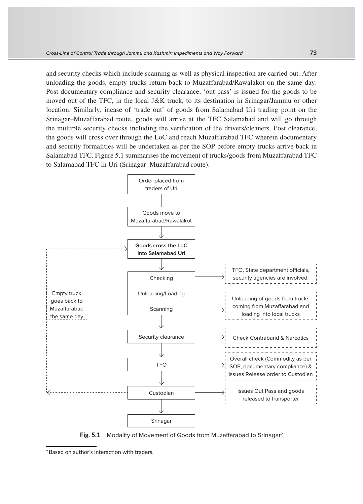and security checks which include scanning as well as physical inspection are carried out. After unloading the goods, empty trucks return back to Muzaffarabad/Rawalakot on the same day. Post documentary compliance and security clearance, 'out pass' is issued for the goods to be moved out of the TFC, in the local J&K truck, to its destination in Srinagar/Jammu or other location. Similarly, incase of 'trade out' of goods from Salamabad Uri trading point on the Srinagar–Muzaffarabad route, goods will arrive at the TFC Salamabad and will go through the multiple security checks including the verification of the drivers/cleaners. Post clearance, the goods will cross over through the LoC and reach Muzaffarabad TFC wherein documentary and security formalities will be undertaken as per the SOP before empty trucks arrive back in Salamabad TFC. Figure 5.1 summarises the movement of trucks/goods from Muzaffarabad TFC to Salamabad TFC in Uri (Srinagar–Muzaffarabad route).



**Fig. 5.1** Modality of Movement of Goods from Muzaffarabad to Srinagar<sup>2</sup>

<sup>2</sup>Based on author's interaction with traders.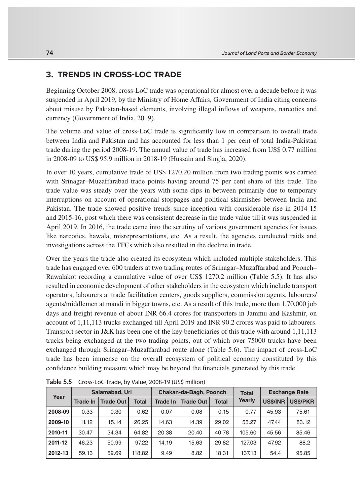## **3. TRENDS IN CROSS-LOC TRADE**

Beginning October 2008, cross-LoC trade was operational for almost over a decade before it was suspended in April 2019, by the Ministry of Home Affairs, Government of India citing concerns about misuse by Pakistan-based elements, involving illegal inflows of weapons, narcotics and currency (Government of India, 2019).

The volume and value of cross-LoC trade is significantly low in comparison to overall trade between India and Pakistan and has accounted for less than 1 per cent of total India-Pakistan trade during the period 2008-19. The annual value of trade has increased from US\$ 0.77 million in 2008-09 to US\$ 95.9 million in 2018-19 (Hussain and Singla, 2020).

In over 10 years, cumulative trade of US\$ 1270.20 million from two trading points was carried with Srinagar–Muzaffarabad trade points having around 75 per cent share of this trade. The trade value was steady over the years with some dips in between primarily due to temporary interruptions on account of operational stoppages and political skirmishes between India and Pakistan. The trade showed positive trends since inception with considerable rise in 2014-15 and 2015-16, post which there was consistent decrease in the trade value till it was suspended in April 2019. In 2016, the trade came into the scrutiny of various government agencies for issues like narcotics, hawala, misrepresentations, etc. As a result, the agencies conducted raids and investigations across the TFCs which also resulted in the decline in trade.

Over the years the trade also created its ecosystem which included multiple stakeholders. This trade has engaged over 600 traders at two trading routes of Srinagar–Muzaffarabad and Poonch– Rawalakot recording a cumulative value of over US\$ 1270.2 million (Table 5.5). It has also resulted in economic development of other stakeholders in the ecosystem which include transport operators, labourers at trade facilitation centers, goods suppliers, commission agents, labourers/ agents/middlemen at mandi in bigger towns, etc. As a result of this trade, more than 1,70,000 job days and freight revenue of about INR 66.4 crores for transporters in Jammu and Kashmir, on account of 1,11,113 trucks exchanged till April 2019 and INR 90.2 crores was paid to labourers. Transport sector in J&K has been one of the key beneficiaries of this trade with around 1,11,113 trucks being exchanged at the two trading points, out of which over 75000 trucks have been exchanged through Srinagar–Muzaffarabad route alone (Table 5.6). The impact of cross-LoC trade has been immense on the overall ecosystem of political economy constituted by this confidence building measure which may be beyond the financials generated by this trade.

| Year    | Salamabad, Uri |                  |              | Chakan-da-Bagh, Poonch |                  |              | <b>Total</b> | <b>Exchange Rate</b> |                 |
|---------|----------------|------------------|--------------|------------------------|------------------|--------------|--------------|----------------------|-----------------|
|         | Trade In       | <b>Trade Out</b> | <b>Total</b> | Trade In               | <b>Trade Out</b> | <b>Total</b> | Yearly       | <b>US\$/INR</b>      | <b>US\$/PKR</b> |
| 2008-09 | 0.33           | 0.30             | 0.62         | 0.07                   | 0.08             | 0.15         | 0.77         | 45.93                | 75.61           |
| 2009-10 | 11.12          | 15.14            | 26.25        | 14.63                  | 14.39            | 29.02        | 55.27        | 47.44                | 83.12           |
| 2010-11 | 30.47          | 34.34            | 64.82        | 20.38                  | 20.40            | 40.78        | 105.60       | 45.56                | 85.46           |
| 2011-12 | 46.23          | 50.99            | 97.22        | 14.19                  | 15.63            | 29.82        | 127.03       | 47.92                | 88.2            |
| 2012-13 | 59.13          | 59.69            | 118.82       | 9.49                   | 8.82             | 18.31        | 137.13       | 54.4                 | 95.85           |

**Table 5.5** Cross-LoC Trade, by Value, 2008-19 (US\$ million)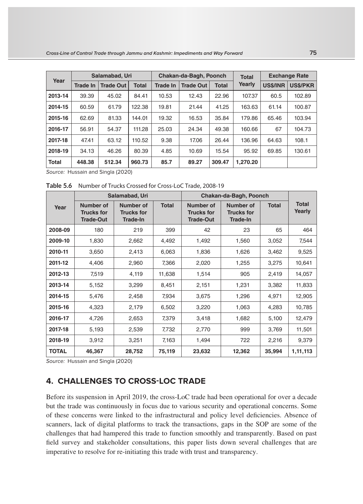| Year         | Salamabad, Uri  |                  |              | Chakan-da-Bagh, Poonch |                  |              | <b>Total</b> | <b>Exchange Rate</b> |                 |
|--------------|-----------------|------------------|--------------|------------------------|------------------|--------------|--------------|----------------------|-----------------|
|              | <b>Trade In</b> | <b>Trade Out</b> | <b>Total</b> | <b>Trade In</b>        | <b>Trade Out</b> | <b>Total</b> | Yearly       | <b>US\$/INR</b>      | <b>US\$/PKR</b> |
| 2013-14      | 39.39           | 45.02            | 84.41        | 10.53                  | 12.43            | 22.96        | 107.37       | 60.5                 | 102.89          |
| 2014-15      | 60.59           | 61.79            | 122.38       | 19.81                  | 21.44            | 41.25        | 163.63       | 61.14                | 100.87          |
| 2015-16      | 62.69           | 81.33            | 144.01       | 19.32                  | 16.53            | 35.84        | 179.86       | 65.46                | 103.94          |
| 2016-17      | 56.91           | 54.37            | 111.28       | 25.03                  | 24.34            | 49.38        | 160.66       | 67                   | 104.73          |
| 2017-18      | 47.41           | 63.12            | 110.52       | 9.38                   | 17.06            | 26.44        | 136.96       | 64.63                | 108.1           |
| 2018-19      | 34.13           | 46.26            | 80.39        | 4.85                   | 10.69            | 15.54        | 95.92        | 69.85                | 130.61          |
| <b>Total</b> | 448.38          | 512.34           | 960.73       | 85.7                   | 89.27            | 309.47       | 1.270.20     |                      |                 |

Source: Hussain and Singla (2020)

**Table 5.6** Number of Trucks Crossed for Cross-LoC Trade, 2008-19

|              |                                                    | Salamabad, Uri                                    |              | Chakan-da-Bagh, Poonch                             |                                                   |              |                        |
|--------------|----------------------------------------------------|---------------------------------------------------|--------------|----------------------------------------------------|---------------------------------------------------|--------------|------------------------|
| Year         | Number of<br><b>Trucks for</b><br><b>Trade-Out</b> | Number of<br><b>Trucks for</b><br><b>Trade-In</b> | <b>Total</b> | Number of<br><b>Trucks for</b><br><b>Trade-Out</b> | Number of<br><b>Trucks for</b><br><b>Trade-In</b> | <b>Total</b> | <b>Total</b><br>Yearly |
| 2008-09      | 180                                                | 219                                               | 399          | 42                                                 | 23                                                | 65           | 464                    |
| 2009-10      | 1,830                                              | 2,662                                             | 4,492        | 1,492                                              | 1,560                                             | 3,052        | 7,544                  |
| 2010-11      | 3,650                                              | 2,413                                             | 6,063        | 1,836                                              | 1,626                                             | 3,462        | 9,525                  |
| 2011-12      | 4,406                                              | 2,960                                             | 7,366        | 2,020                                              | 1,255                                             | 3,275        | 10,641                 |
| 2012-13      | 7,519                                              | 4,119                                             | 11,638       | 1,514                                              | 905                                               | 2,419        | 14,057                 |
| 2013-14      | 5,152                                              | 3,299                                             | 8,451        | 2,151                                              | 1,231                                             | 3,382        | 11,833                 |
| 2014-15      | 5,476                                              | 2,458                                             | 7,934        | 3,675                                              | 1,296                                             | 4,971        | 12,905                 |
| 2015-16      | 4,323                                              | 2,179                                             | 6,502        | 3,220                                              | 1,063                                             | 4,283        | 10,785                 |
| 2016-17      | 4,726                                              | 2,653                                             | 7,379        | 3,418                                              | 1,682                                             | 5,100        | 12,479                 |
| 2017-18      | 5,193                                              | 2,539                                             | 7,732        | 2,770                                              | 999                                               | 3,769        | 11,501                 |
| 2018-19      | 3,912                                              | 3,251                                             | 7,163        | 1,494                                              | 722                                               | 2,216        | 9,379                  |
| <b>TOTAL</b> | 46,367                                             | 28,752                                            | 75,119       | 23,632                                             | 12,362                                            | 35,994       | 1,11,113               |

Source: Hussain and Singla (2020)

# **4. CHALLENGES TO CROSS-LOC TRADE**

Before its suspension in April 2019, the cross-LoC trade had been operational for over a decade but the trade was continuously in focus due to various security and operational concerns. Some of these concerns were linked to the infrastructural and policy level deficiencies. Absence of scanners, lack of digital platforms to track the transactions, gaps in the SOP are some of the challenges that had hampered this trade to function smoothly and transparently. Based on past field survey and stakeholder consultations, this paper lists down several challenges that are imperative to resolve for re-initiating this trade with trust and transparency.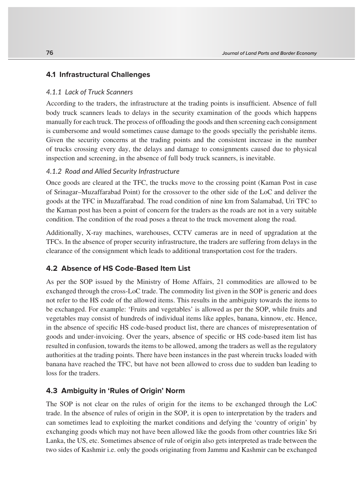#### **4.1 Infrastructural Challenges**

#### *4.1.1 Lack of Truck Scanners*

According to the traders, the infrastructure at the trading points is insufficient. Absence of full body truck scanners leads to delays in the security examination of the goods which happens manually for each truck. The process of offloading the goods and then screening each consignment is cumbersome and would sometimes cause damage to the goods specially the perishable items. Given the security concerns at the trading points and the consistent increase in the number of trucks crossing every day, the delays and damage to consignments caused due to physical inspection and screening, in the absence of full body truck scanners, is inevitable.

## *4.1.2 Road and Allied Security Infrastructure*

Once goods are cleared at the TFC, the trucks move to the crossing point (Kaman Post in case of Srinagar–Muzaffarabad Point) for the crossover to the other side of the LoC and deliver the goods at the TFC in Muzaffarabad. The road condition of nine km from Salamabad, Uri TFC to the Kaman post has been a point of concern for the traders as the roads are not in a very suitable condition. The condition of the road poses a threat to the truck movement along the road.

Additionally, X-ray machines, warehouses, CCTV cameras are in need of upgradation at the TFCs. In the absence of proper security infrastructure, the traders are suffering from delays in the clearance of the consignment which leads to additional transportation cost for the traders.

#### **4.2 Absence of HS Code-Based Item List**

As per the SOP issued by the Ministry of Home Affairs, 21 commodities are allowed to be exchanged through the cross-LoC trade. The commodity list given in the SOP is generic and does not refer to the HS code of the allowed items. This results in the ambiguity towards the items to be exchanged. For example: 'Fruits and vegetables' is allowed as per the SOP, while fruits and vegetables may consist of hundreds of individual items like apples, banana, kinnow, etc. Hence, in the absence of specific HS code-based product list, there are chances of misrepresentation of goods and under-invoicing. Over the years, absence of specific or HS code-based item list has resulted in confusion, towards the items to be allowed, among the traders as well as the regulatory authorities at the trading points. There have been instances in the past wherein trucks loaded with banana have reached the TFC, but have not been allowed to cross due to sudden ban leading to loss for the traders.

#### **4.3 Ambiguity in 'Rules of Origin' Norm**

The SOP is not clear on the rules of origin for the items to be exchanged through the LoC trade. In the absence of rules of origin in the SOP, it is open to interpretation by the traders and can sometimes lead to exploiting the market conditions and defying the 'country of origin' by exchanging goods which may not have been allowed like the goods from other countries like Sri Lanka, the US, etc. Sometimes absence of rule of origin also gets interpreted as trade between the two sides of Kashmir i.e. only the goods originating from Jammu and Kashmir can be exchanged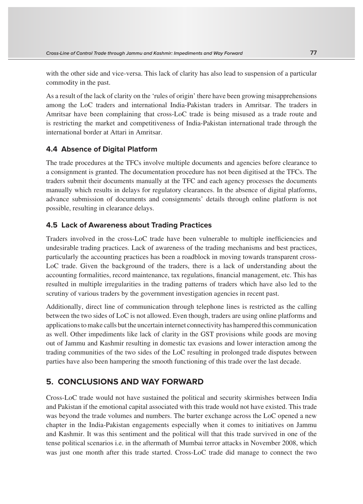with the other side and vice-versa. This lack of clarity has also lead to suspension of a particular commodity in the past.

As a result of the lack of clarity on the 'rules of origin' there have been growing misapprehensions among the LoC traders and international India-Pakistan traders in Amritsar. The traders in Amritsar have been complaining that cross-LoC trade is being misused as a trade route and is restricting the market and competitiveness of India-Pakistan international trade through the international border at Attari in Amritsar.

## **4.4 Absence of Digital Platform**

The trade procedures at the TFCs involve multiple documents and agencies before clearance to a consignment is granted. The documentation procedure has not been digitised at the TFCs. The traders submit their documents manually at the TFC and each agency processes the documents manually which results in delays for regulatory clearances. In the absence of digital platforms, advance submission of documents and consignments' details through online platform is not possible, resulting in clearance delays.

## **4.5 Lack of Awareness about Trading Practices**

Traders involved in the cross-LoC trade have been vulnerable to multiple inefficiencies and undesirable trading practices. Lack of awareness of the trading mechanisms and best practices, particularly the accounting practices has been a roadblock in moving towards transparent cross-LoC trade. Given the background of the traders, there is a lack of understanding about the accounting formalities, record maintenance, tax regulations, financial management, etc. This has resulted in multiple irregularities in the trading patterns of traders which have also led to the scrutiny of various traders by the government investigation agencies in recent past.

Additionally, direct line of communication through telephone lines is restricted as the calling between the two sides of LoC is not allowed. Even though, traders are using online platforms and applications to make calls but the uncertain internet connectivity has hampered this communication as well. Other impediments like lack of clarity in the GST provisions while goods are moving out of Jammu and Kashmir resulting in domestic tax evasions and lower interaction among the trading communities of the two sides of the LoC resulting in prolonged trade disputes between parties have also been hampering the smooth functioning of this trade over the last decade.

## **5. CONCLUSIONS AND WAY FORWARD**

Cross-LoC trade would not have sustained the political and security skirmishes between India and Pakistan if the emotional capital associated with this trade would not have existed. This trade was beyond the trade volumes and numbers. The barter exchange across the LoC opened a new chapter in the India-Pakistan engagements especially when it comes to initiatives on Jammu and Kashmir. It was this sentiment and the political will that this trade survived in one of the tense political scenarios i.e. in the aftermath of Mumbai terror attacks in November 2008, which was just one month after this trade started. Cross-LoC trade did manage to connect the two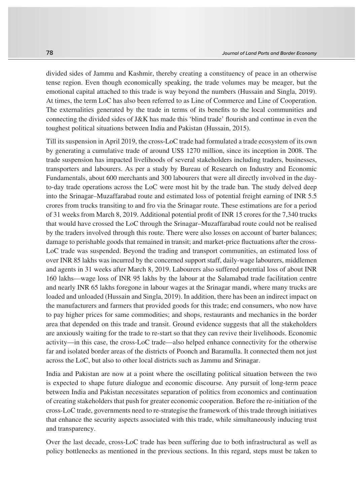divided sides of Jammu and Kashmir, thereby creating a constituency of peace in an otherwise tense region. Even though economically speaking, the trade volumes may be meager, but the emotional capital attached to this trade is way beyond the numbers (Hussain and Singla, 2019). At times, the term LoC has also been referred to as Line of Commerce and Line of Cooperation. The externalities generated by the trade in terms of its benefits to the local communities and connecting the divided sides of J&K has made this 'blind trade' flourish and continue in even the toughest political situations between India and Pakistan (Hussain, 2015).

Till its suspension in April 2019, the cross-LoC trade had formulated a trade ecosystem of its own by generating a cumulative trade of around US\$ 1270 million, since its inception in 2008. The trade suspension has impacted livelihoods of several stakeholders including traders, businesses, transporters and labourers. As per a study by Bureau of Research on Industry and Economic Fundamentals, about 600 merchants and 300 labourers that were all directly involved in the dayto-day trade operations across the LoC were most hit by the trade ban. The study delved deep into the Srinagar–Muzaffarabad route and estimated loss of potential freight earning of INR 5.5 crores from trucks transiting to and fro via the Srinagar route. These estimations are for a period of 31 weeks from March 8, 2019. Additional potential profit of INR 15 crores for the 7,340 trucks that would have crossed the LoC through the Srinagar–Muzaffarabad route could not be realised by the traders involved through this route. There were also losses on account of barter balances; damage to perishable goods that remained in transit; and market-price fluctuations after the cross-LoC trade was suspended. Beyond the trading and transport communities, an estimated loss of over INR 85 lakhs was incurred by the concerned support staff, daily-wage labourers, middlemen and agents in 31 weeks after March 8, 2019. Labourers also suffered potential loss of about INR 160 lakhs—wage loss of INR 95 lakhs by the labour at the Salamabad trade facilitation centre and nearly INR 65 lakhs foregone in labour wages at the Srinagar mandi, where many trucks are loaded and unloaded (Hussain and Singla, 2019). In addition, there has been an indirect impact on the manufacturers and farmers that provided goods for this trade; end consumers, who now have to pay higher prices for same commodities; and shops, restaurants and mechanics in the border area that depended on this trade and transit. Ground evidence suggests that all the stakeholders are anxiously waiting for the trade to re-start so that they can revive their livelihoods. Economic activity—in this case, the cross-LoC trade—also helped enhance connectivity for the otherwise far and isolated border areas of the districts of Poonch and Baramulla. It connected them not just across the LoC, but also to other local districts such as Jammu and Srinagar.

India and Pakistan are now at a point where the oscillating political situation between the two is expected to shape future dialogue and economic discourse. Any pursuit of long-term peace between India and Pakistan necessitates separation of politics from economics and continuation of creating stakeholders that push for greater economic cooperation. Before the re-initiation of the cross-LoC trade, governments need to re-strategise the framework of this trade through initiatives that enhance the security aspects associated with this trade, while simultaneously inducing trust and transparency.

Over the last decade, cross-LoC trade has been suffering due to both infrastructural as well as policy bottlenecks as mentioned in the previous sections. In this regard, steps must be taken to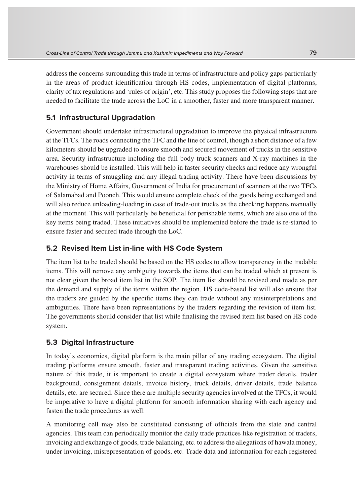address the concerns surrounding this trade in terms of infrastructure and policy gaps particularly in the areas of product identification through HS codes, implementation of digital platforms, clarity of tax regulations and 'rules of origin', etc. This study proposes the following steps that are needed to facilitate the trade across the LoC in a smoother, faster and more transparent manner.

## **5.1 Infrastructural Upgradation**

Government should undertake infrastructural upgradation to improve the physical infrastructure at the TFCs. The roads connecting the TFC and the line of control, though a short distance of a few kilometers should be upgraded to ensure smooth and secured movement of trucks in the sensitive area. Security infrastructure including the full body truck scanners and X-ray machines in the warehouses should be installed. This will help in faster security checks and reduce any wrongful activity in terms of smuggling and any illegal trading activity. There have been discussions by the Ministry of Home Affairs, Government of India for procurement of scanners at the two TFCs of Salamabad and Poonch. This would ensure complete check of the goods being exchanged and will also reduce unloading-loading in case of trade-out trucks as the checking happens manually at the moment. This will particularly be beneficial for perishable items, which are also one of the key items being traded. These initiatives should be implemented before the trade is re-started to ensure faster and secured trade through the LoC.

## **5.2 Revised Item List in-line with HS Code System**

The item list to be traded should be based on the HS codes to allow transparency in the tradable items. This will remove any ambiguity towards the items that can be traded which at present is not clear given the broad item list in the SOP. The item list should be revised and made as per the demand and supply of the items within the region. HS code-based list will also ensure that the traders are guided by the specific items they can trade without any misinterpretations and ambiguities. There have been representations by the traders regarding the revision of item list. The governments should consider that list while finalising the revised item list based on HS code system.

## **5.3 Digital Infrastructure**

In today's economies, digital platform is the main pillar of any trading ecosystem. The digital trading platforms ensure smooth, faster and transparent trading activities. Given the sensitive nature of this trade, it is important to create a digital ecosystem where trader details, trader background, consignment details, invoice history, truck details, driver details, trade balance details, etc. are secured. Since there are multiple security agencies involved at the TFCs, it would be imperative to have a digital platform for smooth information sharing with each agency and fasten the trade procedures as well.

A monitoring cell may also be constituted consisting of officials from the state and central agencies. This team can periodically monitor the daily trade practices like registration of traders, invoicing and exchange of goods, trade balancing, etc. to address the allegations of hawala money, under invoicing, misrepresentation of goods, etc. Trade data and information for each registered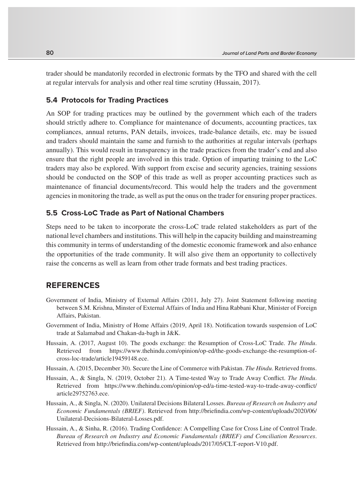trader should be mandatorily recorded in electronic formats by the TFO and shared with the cell at regular intervals for analysis and other real time scrutiny (Hussain, 2017).

#### **5.4 Protocols for Trading Practices**

An SOP for trading practices may be outlined by the government which each of the traders should strictly adhere to. Compliance for maintenance of documents, accounting practices, tax compliances, annual returns, PAN details, invoices, trade-balance details, etc. may be issued and traders should maintain the same and furnish to the authorities at regular intervals (perhaps annually). This would result in transparency in the trade practices from the trader's end and also ensure that the right people are involved in this trade. Option of imparting training to the LoC traders may also be explored. With support from excise and security agencies, training sessions should be conducted on the SOP of this trade as well as proper accounting practices such as maintenance of financial documents/record. This would help the traders and the government agencies in monitoring the trade, as well as put the onus on the trader for ensuring proper practices.

#### **5.5 Cross-LoC Trade as Part of National Chambers**

Steps need to be taken to incorporate the cross-LoC trade related stakeholders as part of the national level chambers and institutions. This will help in the capacity building and mainstreaming this community in terms of understanding of the domestic economic framework and also enhance the opportunities of the trade community. It will also give them an opportunity to collectively raise the concerns as well as learn from other trade formats and best trading practices.

## **REFERENCES**

- Government of India, Ministry of External Affairs (2011, July 27). Joint Statement following meeting between S.M. Krishna, Minster of External Affairs of India and Hina Rabbani Khar, Minister of Foreign Affairs, Pakistan.
- Government of India, Ministry of Home Affairs (2019, April 18). Notification towards suspension of LoC trade at Salamabad and Chakan-da-bagh in J&K.
- Hussain, A. (2017, August 10). The goods exchange: the Resumption of Cross-LoC Trade. *The Hindu*. Retrieved from https://www.thehindu.com/opinion/op-ed/the-goods-exchange-the-resumption-ofcross-loc-trade/article19459148.ece.
- Hussain, A. (2015, December 30). Secure the Line of Commerce with Pakistan. *The Hindu*. Retrieved froms.
- Hussain, A., & Singla, N. (2019, October 21). A Time-tested Way to Trade Away Conflict. *The Hindu*. Retrieved from https://www.thehindu.com/opinion/op-ed/a-time-tested-way-to-trade-away-conflict/ article29752763.ece.
- Hussain, A., & Singla, N. (2020). Unilateral Decisions Bilateral Losses. *Bureau of Research on Industry and Economic Fundamentals (BRIEF)*. Retrieved from http://briefindia.com/wp-content/uploads/2020/06/ Unilateral-Decisions-Bilateral-Losses.pdf.
- Hussain, A., & Sinha, R. (2016). Trading Confidence: A Compelling Case for Cross Line of Control Trade. *Bureau of Research on Industry and Economic Fundamentals (BRIEF) and Conciliation Resources*. Retrieved from http://briefindia.com/wp-content/uploads/2017/05/CLT-report-V10.pdf.